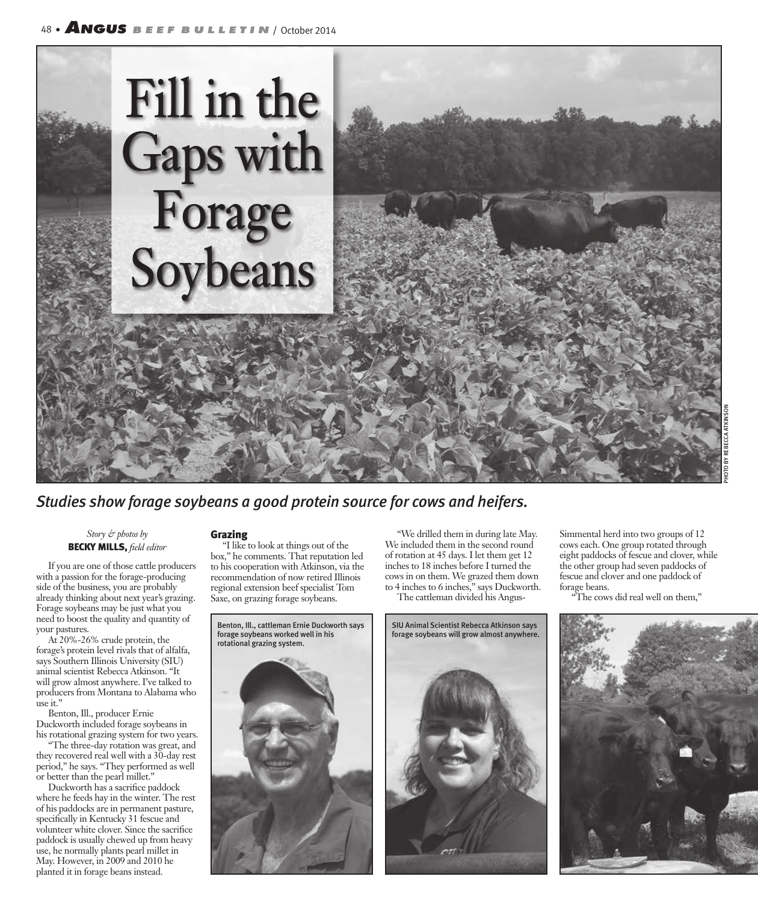

*Studies show forage soybeans a good protein source for cows and heifers.*

## *Story & photos by* BECKY MILLS, *field editor*

If you are one of those cattle producers with a passion for the forage-producing side of the business, you are probably already thinking about next year's grazing. Forage soybeans may be just what you need to boost the quality and quantity of your pastures.

At 20%-26% crude protein, the forage's protein level rivals that of alfalfa, says Southern Illinois University (SIU) animal scientist Rebecca Atkinson. "It will grow almost anywhere. I've talked to producers from Montana to Alabama who use it."

Benton, Ill., producer Ernie Duckworth included forage soybeans in his rotational grazing system for two years.

"The three-day rotation was great, and they recovered real well with a 30-day rest period," he says. "They performed as well or better than the pearl millet."

Duckworth has a sacrifice paddock where he feeds hay in the winter. The rest of his paddocks are in permanent pasture, specifically in Kentucky 31 fescue and volunteer white clover. Since the sacrifice paddock is usually chewed up from heavy use, he normally plants pearl millet in May. However, in 2009 and 2010 he planted it in forage beans instead.

## Grazing

"I like to look at things out of the box," he comments. That reputation led to his cooperation with Atkinson, via the recommendation of now retired Illinois regional extension beef specialist Tom Saxe, on grazing forage soybeans.



"We drilled them in during late May. We included them in the second round of rotation at 45 days. I let them get 12 inches to 18 inches before I turned the cows in on them. We grazed them down to 4 inches to 6 inches," says Duckworth.

The cattleman divided his Angus-



Simmental herd into two groups of 12 cows each. One group rotated through eight paddocks of fescue and clover, while the other group had seven paddocks of fescue and clover and one paddock of forage beans.

"The cows did real well on them,"